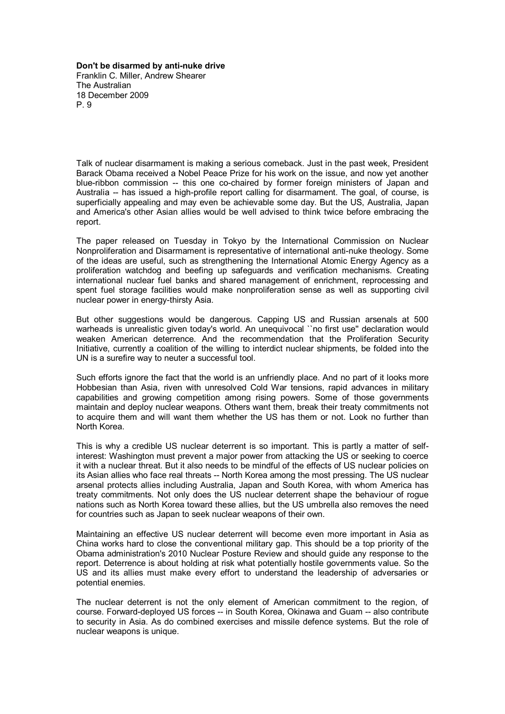**Don't be disarmed by anti-nuke drive** Franklin C. Miller, Andrew Shearer The Australian 18 December 2009 P. 9

Talk of nuclear disarmament is making a serious comeback. Just in the past week, President Barack Obama received a Nobel Peace Prize for his work on the issue, and now yet another blue-ribbon commission -- this one co-chaired by former foreign ministers of Japan and Australia -- has issued a high-profile report calling for disarmament. The goal, of course, is superficially appealing and may even be achievable some day. But the US, Australia, Japan and America's other Asian allies would be well advised to think twice before embracing the report.

The paper released on Tuesday in Tokyo by the International Commission on Nuclear Nonproliferation and Disarmament is representative of international anti-nuke theology. Some of the ideas are useful, such as strengthening the International Atomic Energy Agency as a proliferation watchdog and beefing up safeguards and verification mechanisms. Creating international nuclear fuel banks and shared management of enrichment, reprocessing and spent fuel storage facilities would make nonproliferation sense as well as supporting civil nuclear power in energy-thirsty Asia.

But other suggestions would be dangerous. Capping US and Russian arsenals at 500 warheads is unrealistic given today's world. An unequivocal ``no first use" declaration would weaken American deterrence. And the recommendation that the Proliferation Security Initiative, currently a coalition of the willing to interdict nuclear shipments, be folded into the UN is a surefire way to neuter a successful tool.

Such efforts ignore the fact that the world is an unfriendly place. And no part of it looks more Hobbesian than Asia, riven with unresolved Cold War tensions, rapid advances in military capabilities and growing competition among rising powers. Some of those governments maintain and deploy nuclear weapons. Others want them, break their treaty commitments not to acquire them and will want them whether the US has them or not. Look no further than North Korea.

This is why a credible US nuclear deterrent is so important. This is partly a matter of selfinterest: Washington must prevent a major power from attacking the US or seeking to coerce it with a nuclear threat. But it also needs to be mindful of the effects of US nuclear policies on its Asian allies who face real threats -- North Korea among the most pressing. The US nuclear arsenal protects allies including Australia, Japan and South Korea, with whom America has treaty commitments. Not only does the US nuclear deterrent shape the behaviour of rogue nations such as North Korea toward these allies, but the US umbrella also removes the need for countries such as Japan to seek nuclear weapons of their own.

Maintaining an effective US nuclear deterrent will become even more important in Asia as China works hard to close the conventional military gap. This should be a top priority of the Obama administration's 2010 Nuclear Posture Review and should guide any response to the report. Deterrence is about holding at risk what potentially hostile governments value. So the US and its allies must make every effort to understand the leadership of adversaries or potential enemies.

The nuclear deterrent is not the only element of American commitment to the region, of course. Forward-deployed US forces -- in South Korea, Okinawa and Guam -- also contribute to security in Asia. As do combined exercises and missile defence systems. But the role of nuclear weapons is unique.